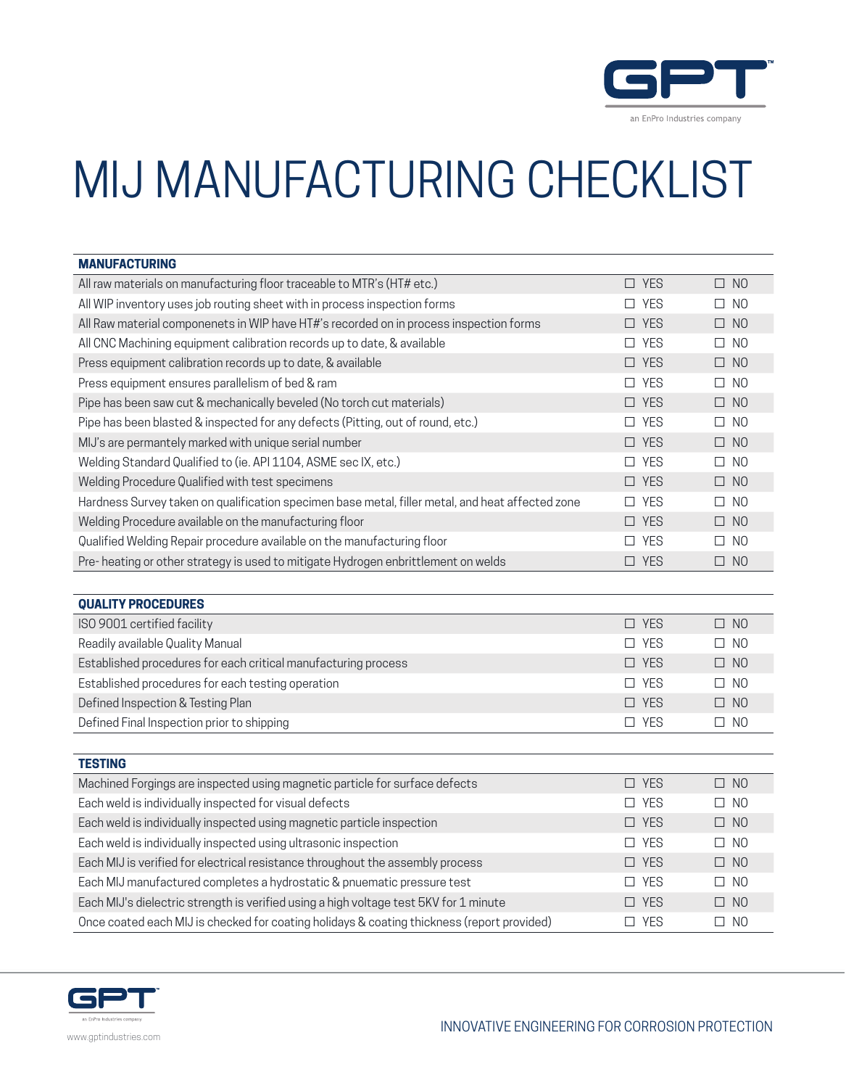

## MIJ MANUFACTURING CHECKLIST

| <b>MANUFACTURING</b>                                                                             |               |                          |
|--------------------------------------------------------------------------------------------------|---------------|--------------------------|
| All raw materials on manufacturing floor traceable to MTR's (HT# etc.)                           | $\square$ YES | $\square$ NO             |
| All WIP inventory uses job routing sheet with in process inspection forms                        | $\square$ YES | $\square$ NO             |
| All Raw material componenets in WIP have HT#'s recorded on in process inspection forms           | $\Box$ YES    | $\square$ NO             |
| All CNC Machining equipment calibration records up to date, & available                          | $\square$ YES | $\square$ NO             |
| Press equipment calibration records up to date, & available                                      | $\Box$ YES    | $\square$ NO             |
| Press equipment ensures parallelism of bed & ram                                                 | $\square$ YES | $\square$ NO             |
| Pipe has been saw cut & mechanically beveled (No torch cut materials)                            | $\square$ YES | $\square$ NO             |
| Pipe has been blasted & inspected for any defects (Pitting, out of round, etc.)                  | $\square$ YES | $\square$ NO             |
| MIJ's are permantely marked with unique serial number                                            | $\square$ YES | $\square$ NO             |
| Welding Standard Qualified to (ie. API 1104, ASME sec IX, etc.)                                  | $\Box$ YES    | $\Box$ NO                |
| Welding Procedure Qualified with test specimens                                                  | $\square$ YES | $\square$ NO             |
| Hardness Survey taken on qualification specimen base metal, filler metal, and heat affected zone | $\Box$ YES    | $\square$ NO             |
| Welding Procedure available on the manufacturing floor                                           | $\Box$ YES    | $\square$ NO             |
| Qualified Welding Repair procedure available on the manufacturing floor                          | $\square$ YES | N <sub>O</sub><br>$\Box$ |
| Pre-heating or other strategy is used to mitigate Hydrogen enbrittlement on welds                | $\square$ YES | $\square$ NO             |
|                                                                                                  |               |                          |
| <b>QUALITY PROCEDURES</b>                                                                        |               |                          |
| ISO 9001 certified facility                                                                      | $\square$ YES | $\square$ NO             |
| Readily available Quality Manual                                                                 | $\square$ YES | $\square$ NO             |
| Established procedures for each critical manufacturing process                                   | $\Box$ YES    | $\square$ NO             |
| Established procedures for each testing operation                                                | $\Box$ YES    | $\square$ NO             |
| Defined Inspection & Testing Plan                                                                | $\square$ YES | $\square$ NO             |
| Defined Final Inspection prior to shipping                                                       | $\square$ YES | $\square$ NO             |
|                                                                                                  |               |                          |
| <b>TESTING</b>                                                                                   |               |                          |
| Machined Forgings are inspected using magnetic particle for surface defects                      | $\square$ YES | $\square$ NO             |
| Each weld is individually inspected for visual defects                                           | $\square$ YES | $\square$ NO             |
| Each weld is individually inspected using magnetic particle inspection                           | $\square$ YES | $\square$ NO             |
| Each weld is individually inspected using ultrasonic inspection                                  | $\square$ YES | $\square$ NO             |
| Each MIJ is verified for electrical resistance throughout the assembly process                   | $\square$ YES | $\square$ NO             |
| Each MIJ manufactured completes a hydrostatic & pnuematic pressure test                          | $\square$ YES | N <sub>O</sub><br>$\Box$ |
| Each MIJ's dielectric strength is verified using a high voltage test 5KV for 1 minute            | $\Box$ YES    | $\square$ NO             |
| Once coated each MIJ is checked for coating holidays & coating thickness (report provided)       | $\Box$ YES    | $\square$ NO             |